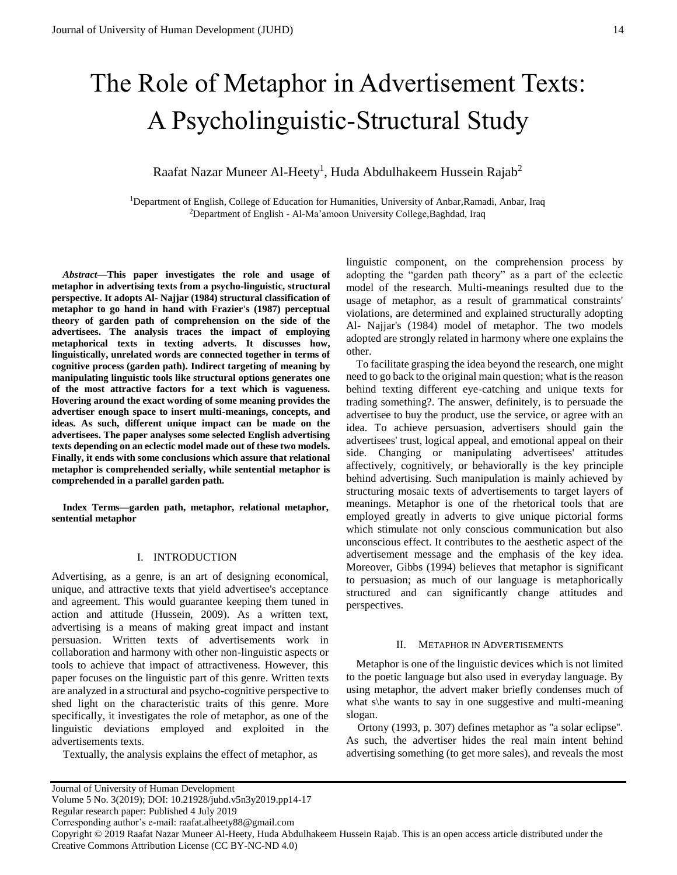# The Role of Metaphor in Advertisement Texts: A Psycholinguistic-Structural Study

# Raafat Nazar Muneer Al-Heety $^{\rm l}$ , Huda Abdulhakeem Hussein Rajab $^{\rm 2}$

<sup>1</sup>Department of English, College of Education for Humanities, University of Anbar, Ramadi, Anbar, Iraq <sup>2</sup>Department of English - Al-Ma'amoon University College, Baghdad, Iraq

*Abstract—***This paper investigates the role and usage of metaphor in advertising texts from a psycho-linguistic, structural perspective. It adopts Al- Najjar (1984) structural classification of metaphor to go hand in hand with Frazier's (1987) perceptual theory of garden path of comprehension on the side of the advertisees. The analysis traces the impact of employing metaphorical texts in texting adverts. It discusses how, linguistically, unrelated words are connected together in terms of cognitive process (garden path). Indirect targeting of meaning by manipulating linguistic tools like structural options generates one of the most attractive factors for a text which is vagueness. Hovering around the exact wording of some meaning provides the advertiser enough space to insert multi-meanings, concepts, and ideas. As such, different unique impact can be made on the advertisees. The paper analyses some selected English advertising texts depending on an eclectic model made out of these two models. Finally, it ends with some conclusions which assure that relational metaphor is comprehended serially, while sentential metaphor is comprehended in a parallel garden path.**

**Index Terms—garden path, metaphor, relational metaphor, sentential metaphor** 

#### I. INTRODUCTION

Advertising, as a genre, is an art of designing economical, unique, and attractive texts that yield advertisee's acceptance and agreement. This would guarantee keeping them tuned in action and attitude (Hussein, 2009). As a written text, advertising is a means of making great impact and instant persuasion. Written texts of advertisements work in collaboration and harmony with other non-linguistic aspects or tools to achieve that impact of attractiveness. However, this paper focuses on the linguistic part of this genre. Written texts are analyzed in a structural and psycho-cognitive perspective to shed light on the characteristic traits of this genre. More specifically, it investigates the role of metaphor, as one of the linguistic deviations employed and exploited in the advertisements texts.

Textually, the analysis explains the effect of metaphor, as

To facilitate grasping the idea beyond the research, one might need to go back to the original main question; what is the reason behind texting different eye-catching and unique texts for trading something?. The answer, definitely, is to persuade the advertisee to buy the product, use the service, or agree with an idea. To achieve persuasion, advertisers should gain the advertisees' trust, logical appeal, and emotional appeal on their side. Changing or manipulating advertisees' attitudes affectively, cognitively, or behaviorally is the key principle behind advertising. Such manipulation is mainly achieved by structuring mosaic texts of advertisements to target layers of meanings. Metaphor is one of the rhetorical tools that are employed greatly in adverts to give unique pictorial forms which stimulate not only conscious communication but also unconscious effect. It contributes to the aesthetic aspect of the advertisement message and the emphasis of the key idea. Moreover, Gibbs (1994) believes that metaphor is significant to persuasion; as much of our language is metaphorically structured and can significantly change attitudes and perspectives.

# II. METAPHOR IN ADVERTISEMENTS

Metaphor is one of the linguistic devices which is not limited to the poetic language but also used in everyday language. By using metaphor, the advert maker briefly condenses much of what s\he wants to say in one suggestive and multi-meaning slogan.

Ortony (1993, p. 307) defines metaphor as ''a solar eclipse''. As such, the advertiser hides the real main intent behind advertising something (to get more sales), and reveals the most

Copyright © 2019 Raafat Nazar Muneer Al-Heety, Huda Abdulhakeem Hussein Rajab. This is an open access article distributed under the Creative Commons Attribution License (CC BY-NC-ND 4.0)

linguistic component, on the comprehension process by adopting the "garden path theory" as a part of the eclectic model of the research. Multi-meanings resulted due to the usage of metaphor, as a result of grammatical constraints' violations, are determined and explained structurally adopting Al- Najjar's (1984) model of metaphor. The two models adopted are strongly related in harmony where one explains the other.

Journal of University of Human Development

Volume 5 No. 3(2019); DOI: 10.21928/juhd.v5n3y2019.pp14-17

Regular research paper: Published 4 July 2019

Corresponding author's e-mail: raafat.alheety88@gmail.com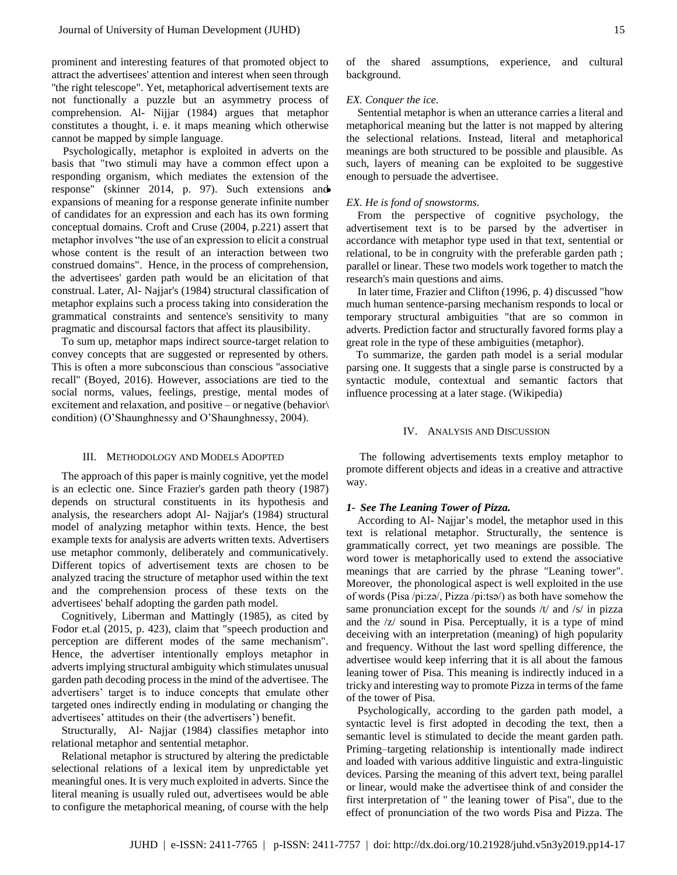prominent and interesting features of that promoted object to attract the advertisees' attention and interest when seen through ''the right telescope". Yet, metaphorical advertisement texts are not functionally a puzzle but an asymmetry process of comprehension. Al- Nijjar (1984) argues that metaphor constitutes a thought, i. e. it maps meaning which otherwise cannot be mapped by simple language.

Psychologically, metaphor is exploited in adverts on the basis that "two stimuli may have a common effect upon a responding organism, which mediates the extension of the response" (skinner 2014, p. 97). Such extensions and expansions of meaning for a response generate infinite number of candidates for an expression and each has its own forming conceptual domains. Croft and Cruse (2004, p.221) assert that metaphor involves "the use of an expression to elicit a construal whose content is the result of an interaction between two construed domains". Hence, in the process of comprehension, the advertisees' garden path would be an elicitation of that construal. Later, Al- Najjar's (1984) structural classification of metaphor explains such a process taking into consideration the grammatical constraints and sentence's sensitivity to many pragmatic and discoursal factors that affect its plausibility.

To sum up, metaphor maps indirect source-target relation to convey concepts that are suggested or represented by others. This is often a more subconscious than conscious ''associative recall'' (Boyed, 2016). However, associations are tied to the social norms, values, feelings, prestige, mental modes of excitement and relaxation, and positive – or negative (behavior\ condition) (O'Shaunghnessy and O'Shaunghnessy, 2004).

#### III. METHODOLOGY AND MODELS ADOPTED

The approach of this paper is mainly cognitive, yet the model is an eclectic one. Since Frazier's garden path theory (1987) depends on structural constituents in its hypothesis and analysis, the researchers adopt Al- Najjar's (1984) structural model of analyzing metaphor within texts. Hence, the best example texts for analysis are adverts written texts. Advertisers use metaphor commonly, deliberately and communicatively. Different topics of advertisement texts are chosen to be analyzed tracing the structure of metaphor used within the text and the comprehension process of these texts on the advertisees' behalf adopting the garden path model.

Cognitively, Liberman and Mattingly (1985), as cited by Fodor et.al (2015, p. 423), claim that "speech production and perception are different modes of the same mechanism". Hence, the advertiser intentionally employs metaphor in adverts implying structural ambiguity which stimulates unusual garden path decoding process in the mind of the advertisee. The advertisers' target is to induce concepts that emulate other targeted ones indirectly ending in modulating or changing the advertisees' attitudes on their (the advertisers') benefit.

Structurally, Al- Najjar (1984) classifies metaphor into relational metaphor and sentential metaphor.

Relational metaphor is structured by altering the predictable selectional relations of a lexical item by unpredictable yet meaningful ones. It is very much exploited in adverts. Since the literal meaning is usually ruled out, advertisees would be able to configure the metaphorical meaning, of course with the help of the shared assumptions, experience, and cultural background.

#### *EX. Conquer the ice.*

Sentential metaphor is when an utterance carries a literal and metaphorical meaning but the latter is not mapped by altering the selectional relations. Instead, literal and metaphorical meanings are both structured to be possible and plausible. As such, layers of meaning can be exploited to be suggestive enough to persuade the advertisee.

#### *EX. He is fond of snowstorms.*

From the perspective of cognitive psychology, the advertisement text is to be parsed by the advertiser in accordance with metaphor type used in that text, sentential or relational, to be in congruity with the preferable garden path ; parallel or linear. These two models work together to match the research's main questions and aims.

In later time, Frazier and Clifton (1996, p. 4) discussed "how much human sentence-parsing mechanism responds to local or temporary structural ambiguities "that are so common in adverts. Prediction factor and structurally favored forms play a great role in the type of these ambiguities (metaphor).

To summarize, the garden path model is a serial modular parsing one. It suggests that a single parse is constructed by a syntactic module, contextual and semantic factors that influence processing at a later stage. (Wikipedia)

## IV. ANALYSIS AND DISCUSSION

 The following advertisements texts employ metaphor to promote different objects and ideas in a creative and attractive way.

#### *1- See The Leaning Tower of Pizza.*

According to Al- Najjar's model, the metaphor used in this text is relational metaphor. Structurally, the sentence is grammatically correct, yet two meanings are possible. The word tower is metaphorically used to extend the associative meanings that are carried by the phrase "Leaning tower". Moreover, the phonological aspect is well exploited in the use of words (Pisa /pi:zə/, Pizza /pi:tsə/) as both have somehow the same pronunciation except for the sounds /t/ and /s/ in pizza and the /z/ sound in Pisa. Perceptually, it is a type of mind deceiving with an interpretation (meaning) of high popularity and frequency. Without the last word spelling difference, the advertisee would keep inferring that it is all about the famous leaning tower of Pisa. This meaning is indirectly induced in a tricky and interesting way to promote Pizza in terms of the fame of the tower of Pisa.

Psychologically, according to the garden path model, a syntactic level is first adopted in decoding the text, then a semantic level is stimulated to decide the meant garden path. Priming–targeting relationship is intentionally made indirect and loaded with various additive linguistic and extra-linguistic devices. Parsing the meaning of this advert text, being parallel or linear, would make the advertisee think of and consider the first interpretation of " the leaning tower of Pisa", due to the effect of pronunciation of the two words Pisa and Pizza. The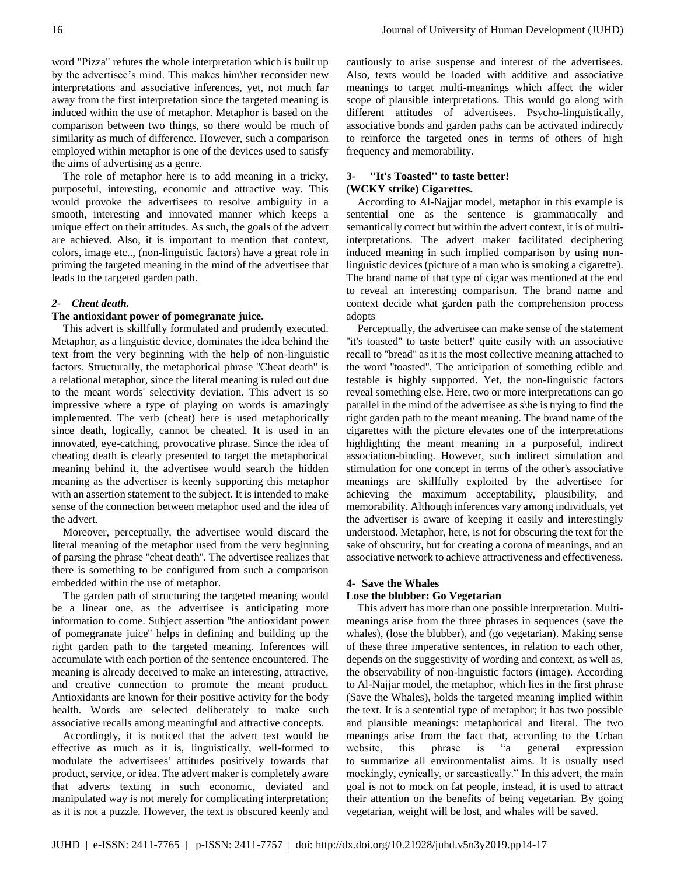word "Pizza" refutes the whole interpretation which is built up by the advertisee's mind. This makes him\her reconsider new interpretations and associative inferences, yet, not much far away from the first interpretation since the targeted meaning is induced within the use of metaphor. Metaphor is based on the comparison between two things, so there would be much of similarity as much of difference. However, such a comparison employed within metaphor is one of the devices used to satisfy the aims of advertising as a genre.

The role of metaphor here is to add meaning in a tricky, purposeful, interesting, economic and attractive way. This would provoke the advertisees to resolve ambiguity in a smooth, interesting and innovated manner which keeps a unique effect on their attitudes. As such, the goals of the advert are achieved. Also, it is important to mention that context, colors, image etc.., (non-linguistic factors) have a great role in priming the targeted meaning in the mind of the advertisee that leads to the targeted garden path.

# *2- Cheat death.*

# **The antioxidant power of pomegranate juice.**

This advert is skillfully formulated and prudently executed. Metaphor, as a linguistic device, dominates the idea behind the text from the very beginning with the help of non-linguistic factors. Structurally, the metaphorical phrase ''Cheat death" is a relational metaphor, since the literal meaning is ruled out due to the meant words' selectivity deviation. This advert is so impressive where a type of playing on words is amazingly implemented. The verb (cheat) here is used metaphorically since death, logically, cannot be cheated. It is used in an innovated, eye-catching, provocative phrase. Since the idea of cheating death is clearly presented to target the metaphorical meaning behind it, the advertisee would search the hidden meaning as the advertiser is keenly supporting this metaphor with an assertion statement to the subject. It is intended to make sense of the connection between metaphor used and the idea of the advert.

Moreover, perceptually, the advertisee would discard the literal meaning of the metaphor used from the very beginning of parsing the phrase ''cheat death''. The advertisee realizes that there is something to be configured from such a comparison embedded within the use of metaphor.

The garden path of structuring the targeted meaning would be a linear one, as the advertisee is anticipating more information to come. Subject assertion ''the antioxidant power of pomegranate juice'' helps in defining and building up the right garden path to the targeted meaning. Inferences will accumulate with each portion of the sentence encountered. The meaning is already deceived to make an interesting, attractive, and creative connection to promote the meant product. Antioxidants are known for their positive activity for the body health. Words are selected deliberately to make such associative recalls among meaningful and attractive concepts.

Accordingly, it is noticed that the advert text would be effective as much as it is, linguistically, well-formed to modulate the advertisees' attitudes positively towards that product, service, or idea. The advert maker is completely aware that adverts texting in such economic, deviated and manipulated way is not merely for complicating interpretation; as it is not a puzzle. However, the text is obscured keenly and cautiously to arise suspense and interest of the advertisees. Also, texts would be loaded with additive and associative meanings to target multi-meanings which affect the wider scope of plausible interpretations. This would go along with different attitudes of advertisees. Psycho-linguistically, associative bonds and garden paths can be activated indirectly to reinforce the targeted ones in terms of others of high frequency and memorability.

# **3- ''It's Toasted'' to taste better! (WCKY strike) Cigarettes.**

According to Al-Najjar model, metaphor in this example is sentential one as the sentence is grammatically and semantically correct but within the advert context, it is of multiinterpretations. The advert maker facilitated deciphering induced meaning in such implied comparison by using nonlinguistic devices (picture of a man who is smoking a cigarette). The brand name of that type of cigar was mentioned at the end to reveal an interesting comparison. The brand name and context decide what garden path the comprehension process adopts

Perceptually, the advertisee can make sense of the statement "it's toasted" to taste better!' quite easily with an associative recall to ''bread'' as it is the most collective meaning attached to the word ''toasted''. The anticipation of something edible and testable is highly supported. Yet, the non-linguistic factors reveal something else. Here, two or more interpretations can go parallel in the mind of the advertisee as s\he is trying to find the right garden path to the meant meaning. The brand name of the cigarettes with the picture elevates one of the interpretations highlighting the meant meaning in a purposeful, indirect association-binding. However, such indirect simulation and stimulation for one concept in terms of the other's associative meanings are skillfully exploited by the advertisee for achieving the maximum acceptability, plausibility, and memorability. Although inferences vary among individuals, yet the advertiser is aware of keeping it easily and interestingly understood. Metaphor, here, is not for obscuring the text for the sake of obscurity, but for creating a corona of meanings, and an associative network to achieve attractiveness and effectiveness.

#### **4- Save the Whales**

## **Lose the blubber: Go Vegetarian**

This advert has more than one possible interpretation. Multimeanings arise from the three phrases in sequences (save the whales), (lose the blubber), and (go vegetarian). Making sense of these three imperative sentences, in relation to each other, depends on the suggestivity of wording and context, as well as, the observability of non-linguistic factors (image). According to Al-Najjar model, the metaphor, which lies in the first phrase (Save the Whales), holds the targeted meaning implied within the text. It is a sentential type of metaphor; it has two possible and plausible meanings: metaphorical and literal. The two meanings arise from the fact that, according to the Urban website, this phrase is "a general expression to [summarize](https://www.urbandictionary.com/define.php?term=summarize) all [environmentalist](https://www.urbandictionary.com/define.php?term=environmentalist) [aims.](https://www.urbandictionary.com/define.php?term=aims) It is usually used mockingly, cynically, or sarcastically." In this advert, the main goal is not to mock on fat people, instead, it is used to attract their attention on the benefits of being vegetarian. By going vegetarian, weight will be lost, and whales will be saved.